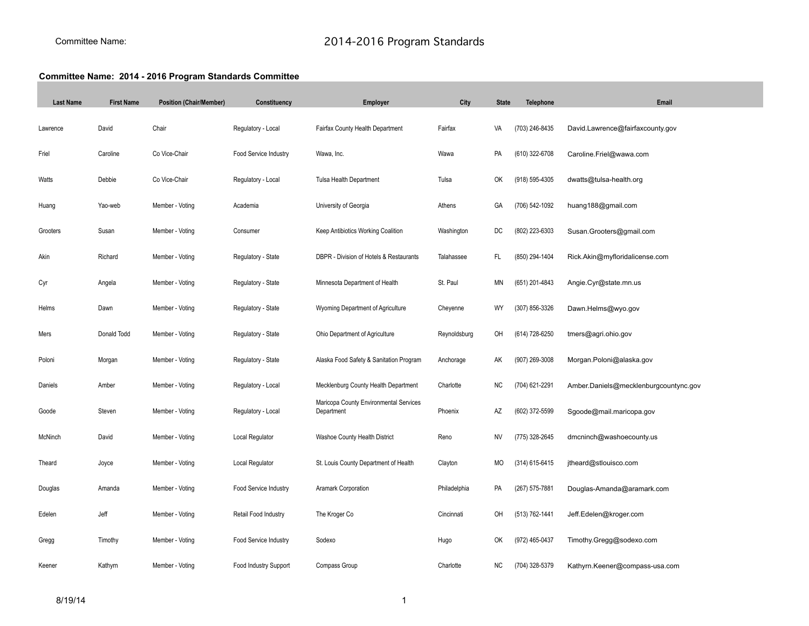## **Committee Name: 2014 - 2016 Program Standards Committee**

| <b>Last Name</b> | <b>First Name</b> | <b>Position (Chair/Member)</b> | Constituency          | Employer                                             | City         | <b>State</b> | <b>Telephone</b> | Email                                 |
|------------------|-------------------|--------------------------------|-----------------------|------------------------------------------------------|--------------|--------------|------------------|---------------------------------------|
| Lawrence         | David             | Chair                          | Regulatory - Local    | Fairfax County Health Department                     | Fairfax      | VA           | (703) 246-8435   | David.Lawrence@fairfaxcounty.gov      |
| Friel            | Caroline          | Co Vice-Chair                  | Food Service Industry | Wawa, Inc.                                           | Wawa         | PA           | (610) 322-6708   | Caroline.Friel@wawa.com               |
| Watts            | Debbie            | Co Vice-Chair                  | Regulatory - Local    | Tulsa Health Department                              | Tulsa        | OK           | (918) 595-4305   | dwatts@tulsa-health.org               |
| Huang            | Yao-web           | Member - Voting                | Academia              | University of Georgia                                | Athens       | GA           | (706) 542-1092   | huang188@gmail.com                    |
| Grooters         | Susan             | Member - Voting                | Consumer              | Keep Antibiotics Working Coalition                   | Washington   | DC           | (802) 223-6303   | Susan.Grooters@gmail.com              |
| Akin             | Richard           | Member - Voting                | Regulatory - State    | DBPR - Division of Hotels & Restaurants              | Talahassee   | FL           | (850) 294-1404   | Rick.Akin@myfloridalicense.com        |
| Cyr              | Angela            | Member - Voting                | Regulatory - State    | Minnesota Department of Health                       | St. Paul     | ΜN           | (651) 201-4843   | Angie.Cyr@state.mn.us                 |
| Helms            | Dawn              | Member - Voting                | Regulatory - State    | Wyoming Department of Agriculture                    | Cheyenne     | WY           | (307) 856-3326   | Dawn.Helms@wyo.gov                    |
| Mers             | Donald Todd       | Member - Voting                | Regulatory - State    | Ohio Department of Agriculture                       | Reynoldsburg | OH           | (614) 728-6250   | tmers@agri.ohio.gov                   |
| Poloni           | Morgan            | Member - Voting                | Regulatory - State    | Alaska Food Safety & Sanitation Program              | Anchorage    | АK           | (907) 269-3008   | Morgan.Poloni@alaska.gov              |
| Daniels          | Amber             | Member - Voting                | Regulatory - Local    | Mecklenburg County Health Department                 | Charlotte    | NC           | (704) 621-2291   | Amber.Daniels@mecklenburgcountync.gov |
| Goode            | Steven            | Member - Voting                | Regulatory - Local    | Maricopa County Environmental Services<br>Department | Phoenix      | AZ           | (602) 372-5599   | Sgoode@mail.maricopa.gov              |
| McNinch          | David             | Member - Voting                | Local Regulator       | Washoe County Health District                        | Reno         | ΝV           | (775) 328-2645   | dmcninch@washoecounty.us              |
| Theard           | Joyce             | Member - Voting                | Local Regulator       | St. Louis County Department of Health                | Clayton      | МO           | (314) 615-6415   | jtheard@stlouisco.com                 |
| Douglas          | Amanda            | Member - Voting                | Food Service Industry | Aramark Corporation                                  | Philadelphia | PA           | (267) 575-7881   | Douglas-Amanda@aramark.com            |
| Edelen           | Jeff              | Member - Voting                | Retail Food Industry  | The Kroger Co                                        | Cincinnati   | OH           | (513) 762-1441   | Jeff.Edelen@kroger.com                |
| Gregg            | Timothy           | Member - Voting                | Food Service Industry | Sodexo                                               | Hugo         | OK           | (972) 465-0437   | Timothy.Gregg@sodexo.com              |
| Keener           | Kathym            | Member - Voting                | Food Industry Support | Compass Group                                        | Charlotte    | ΝC           | (704) 328-5379   | Kathyrn.Keener@compass-usa.com        |